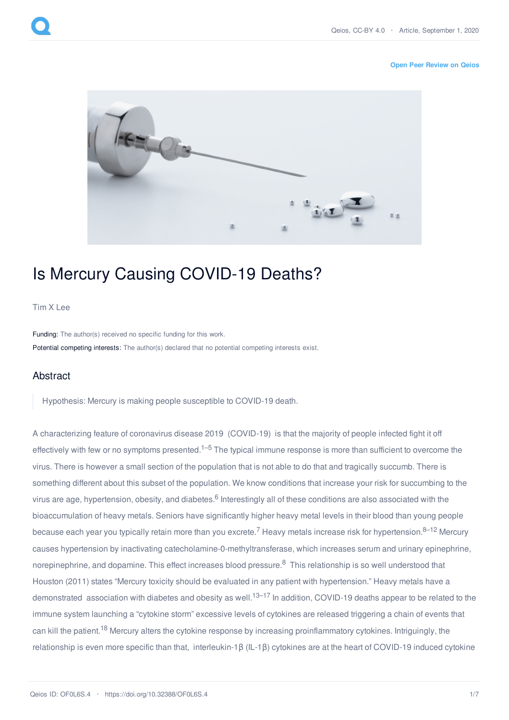## **Open Peer [Review](https://www.qeios.com/read/OF0L6S.4#reviews) on Qeios**



## Is Mercury Causing COVID-19 Deaths?

## [Tim](https://www.qeios.com/profile/2535) X Lee

Funding: The author(s) received no specific funding for this work. Potential competing interests: The author(s) declared that no potential competing interests exist.

## Abstract

Hypothesis: Mercury is making people susceptible to COVID-19 death.

A characterizing feature of coronavirus disease 2019 (COVID-19) is that the majority of people infected fight it off effectively with few or no symptoms presented.<sup>1–5</sup> The typical immune response is more than sufficient to overcome the virus. There is however a small section of the population that is not able to do that and tragically succumb. There is something different about this subset of the population. We know conditions that increase your risk for succumbing to the virus are age, hypertension, obesity, and diabetes.<sup>6</sup> Interestingly all of these conditions are also associated with the bioaccumulation of heavy metals. Seniors have significantly higher heavy metal levels in their blood than young people because each year you typically retain more than you excrete.<sup>7</sup> Heavy metals increase risk for hypertension.<sup>8–12</sup> Mercury causes hypertension by inactivating catecholamine-0-methyltransferase, which increases serum and urinary epinephrine, norepinephrine, and dopamine. This effect increases blood pressure.<sup>8</sup> This relationship is so well understood that Houston (2011) states "Mercury toxicity should be evaluated in any patient with hypertension." Heavy metals have a demonstrated association with diabetes and obesity as well.<sup>13–17</sup> In addition, COVID-19 deaths appear to be related to the immune system launching a "cytokine storm" excessive levels of cytokines are released triggering a chain of events that can kill the patient.<sup>18</sup> Mercury alters the cytokine response by increasing proinflammatory cytokines. Intriguingly, the relationship is even more specific than that, interleukin-1β (IL-1β) cytokines are at the heart of COVID-19 induced cytokine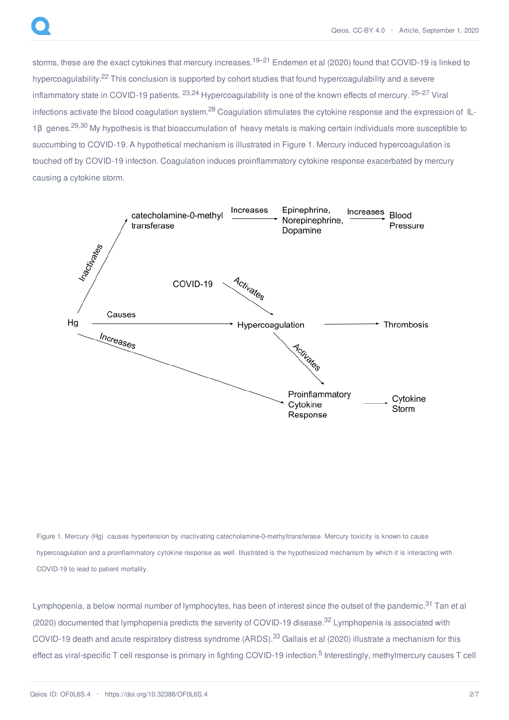storms, these are the exact cytokines that mercury increases.<sup>19–21</sup> Endemen et al (2020) found that COVID-19 is linked to hypercoagulability.<sup>22</sup> This conclusion is supported by cohort studies that found hypercoagulability and a severe inflammatory state in COVID-19 patients. <sup>23,24</sup> Hypercoagulability is one of the known effects of mercury. <sup>25–27</sup> Viral infections activate the blood coagulation system.<sup>28</sup> Coagulation stimulates the cytokine response and the expression of IL-1β genes.<sup>29,30</sup> My hypothesis is that bioaccumulation of heavy metals is making certain individuals more susceptible to succumbing to COVID-19. A hypothetical mechanism is illustrated in Figure 1. Mercury induced hypercoagulation is touched off by COVID-19 infection. Coagulation induces proinflammatory cytokine response exacerbated by mercury causing a cytokine storm.



Figure 1. Mercury (Hg) causes hypertension by inactivating catecholamine-0-methyltransferase. Mercury toxicity is known to cause hypercoagulation and a proinflammatory cytokine response as well. Illustrated is the hypothesized mechanism by which it is interacting with COVID-19 to lead to patient mortality.

Lymphopenia, a below normal number of lymphocytes, has been of interest since the outset of the pandemic.<sup>31</sup> Tan et al (2020) documented that lymphopenia predicts the severity of COVID-19 disease.<sup>32</sup> Lymphopenia is associated with COVID-19 death and acute respiratory distress syndrome (ARDS).<sup>33</sup> Gallais et al (2020) illustrate a mechanism for this effect as viral-specific T cell response is primary in fighting COVID-19 infection.<sup>5</sup> Interestingly, methylmercury causes T cell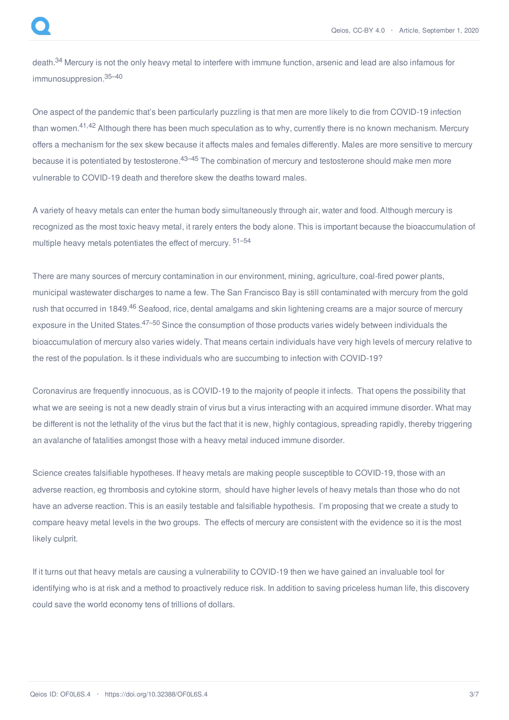death.<sup>34</sup> Mercury is not the only heavy metal to interfere with immune function, arsenic and lead are also infamous for immunosuppresion. 35–40

One aspect of the pandemic that's been particularly puzzling is that men are more likely to die from COVID-19 infection than women.<sup>41,42</sup> Although there has been much speculation as to why, currently there is no known mechanism. Mercury offers a mechanism for the sex skew because it affects males and females differently. Males are more sensitive to mercury because it is potentiated by testosterone.<sup>43–45</sup> The combination of mercury and testosterone should make men more vulnerable to COVID-19 death and therefore skew the deaths toward males.

A variety of heavy metals can enter the human body simultaneously through air, water and food. Although mercury is recognized as the most toxic heavy metal, it rarely enters the body alone. This is important because the bioaccumulation of multiple heavy metals potentiates the effect of mercury. <sup>51–54</sup>

There are many sources of mercury contamination in our environment, mining, agriculture, coal-fired power plants, municipal wastewater discharges to name a few. The San Francisco Bay is still contaminated with mercury from the gold rush that occurred in 1849.<sup>46</sup> Seafood, rice, dental amalgams and skin lightening creams are a major source of mercury exposure in the United States.<sup>47–50</sup> Since the consumption of those products varies widely between individuals the bioaccumulation of mercury also varies widely. That means certain individuals have very high levels of mercury relative to the rest of the population. Is it these individuals who are succumbing to infection with COVID-19?

Coronavirus are frequently innocuous, as is COVID-19 to the majority of people it infects. That opens the possibility that what we are seeing is not a new deadly strain of virus but a virus interacting with an acquired immune disorder. What may be different is not the lethality of the virus but the fact that it is new, highly contagious, spreading rapidly, thereby triggering an avalanche of fatalities amongst those with a heavy metal induced immune disorder.

Science creates falsifiable hypotheses. If heavy metals are making people susceptible to COVID-19, those with an adverse reaction, eg thrombosis and cytokine storm, should have higher levels of heavy metals than those who do not have an adverse reaction. This is an easily testable and falsifiable hypothesis. I'm proposing that we create a study to compare heavy metal levels in the two groups. The effects of mercury are consistent with the evidence so it is the most likely culprit.

If it turns out that heavy metals are causing a vulnerability to COVID-19 then we have gained an invaluable tool for identifying who is at risk and a method to proactively reduce risk. In addition to saving priceless human life, this discovery could save the world economy tens of trillions of dollars.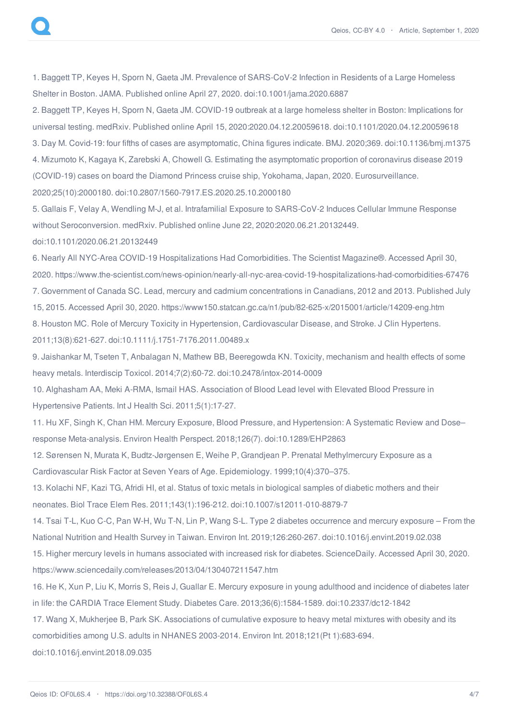1. Baggett TP, Keyes H, Sporn N, Gaeta JM. Prevalence of SARS-CoV-2 Infection in Residents of a Large Homeless Shelter in Boston. JAMA. Published online April 27, 2020. doi:10.1001/jama.2020.6887

2. Baggett TP, Keyes H, Sporn N, Gaeta JM. COVID-19 outbreak at a large homeless shelter in Boston: Implications for universal testing. medRxiv. Published online April 15, 2020:2020.04.12.20059618. doi:10.1101/2020.04.12.20059618 3. Day M. Covid-19: four fifths of cases are asymptomatic, China figures indicate. BMJ. 2020;369. doi:10.1136/bmj.m1375 4. Mizumoto K, Kagaya K, Zarebski A, Chowell G. Estimating the asymptomatic proportion of coronavirus disease 2019 (COVID-19) cases on board the Diamond Princess cruise ship, Yokohama, Japan, 2020. Eurosurveillance. 2020;25(10):2000180. doi:10.2807/1560-7917.ES.2020.25.10.2000180

5. Gallais F, Velay A, Wendling M-J, et al. Intrafamilial Exposure to SARS-CoV-2 Induces Cellular Immune Response without Seroconversion. medRxiv. Published online June 22, 2020:2020.06.21.20132449.

doi:10.1101/2020.06.21.20132449

6. Nearly All NYC-Area COVID-19 Hospitalizations Had Comorbidities. The Scientist Magazine®. Accessed April 30, 2020. https://www.the-scientist.com/news-opinion/nearly-all-nyc-area-covid-19-hospitalizations-had-comorbidities-67476 7. Government of Canada SC. Lead, mercury and cadmium concentrations in Canadians, 2012 and 2013. Published July 15, 2015. Accessed April 30, 2020. https://www150.statcan.gc.ca/n1/pub/82-625-x/2015001/article/14209-eng.htm 8. Houston MC. Role of Mercury Toxicity in Hypertension, Cardiovascular Disease, and Stroke. J Clin Hypertens.

2011;13(8):621-627. doi:10.1111/j.1751-7176.2011.00489.x

9. Jaishankar M, Tseten T, Anbalagan N, Mathew BB, Beeregowda KN. Toxicity, mechanism and health effects of some heavy metals. Interdiscip Toxicol. 2014;7(2):60-72. doi:10.2478/intox-2014-0009

10. Alghasham AA, Meki A-RMA, Ismail HAS. Association of Blood Lead level with Elevated Blood Pressure in Hypertensive Patients. Int J Health Sci. 2011;5(1):17-27.

11. Hu XF, Singh K, Chan HM. Mercury Exposure, Blood Pressure, and Hypertension: A Systematic Review and Dose– response Meta-analysis. Environ Health Perspect. 2018;126(7). doi:10.1289/EHP2863

12. Sørensen N, Murata K, Budtz-Jørgensen E, Weihe P, Grandjean P. Prenatal Methylmercury Exposure as a Cardiovascular Risk Factor at Seven Years of Age. Epidemiology. 1999;10(4):370–375.

13. Kolachi NF, Kazi TG, Afridi HI, et al. Status of toxic metals in biological samples of diabetic mothers and their neonates. Biol Trace Elem Res. 2011;143(1):196-212. doi:10.1007/s12011-010-8879-7

14. Tsai T-L, Kuo C-C, Pan W-H, Wu T-N, Lin P, Wang S-L. Type 2 diabetes occurrence and mercury exposure – From the National Nutrition and Health Survey in Taiwan. Environ Int. 2019;126:260-267. doi:10.1016/j.envint.2019.02.038

15. Higher mercury levels in humans associated with increased risk for diabetes. ScienceDaily. Accessed April 30, 2020. https://www.sciencedaily.com/releases/2013/04/130407211547.htm

16. He K, Xun P, Liu K, Morris S, Reis J, Guallar E. Mercury exposure in young adulthood and incidence of diabetes later in life: the CARDIA Trace Element Study. Diabetes Care. 2013;36(6):1584-1589. doi:10.2337/dc12-1842

17. Wang X, Mukherjee B, Park SK. Associations of cumulative exposure to heavy metal mixtures with obesity and its comorbidities among U.S. adults in NHANES 2003-2014. Environ Int. 2018;121(Pt 1):683-694.

doi:10.1016/j.envint.2018.09.035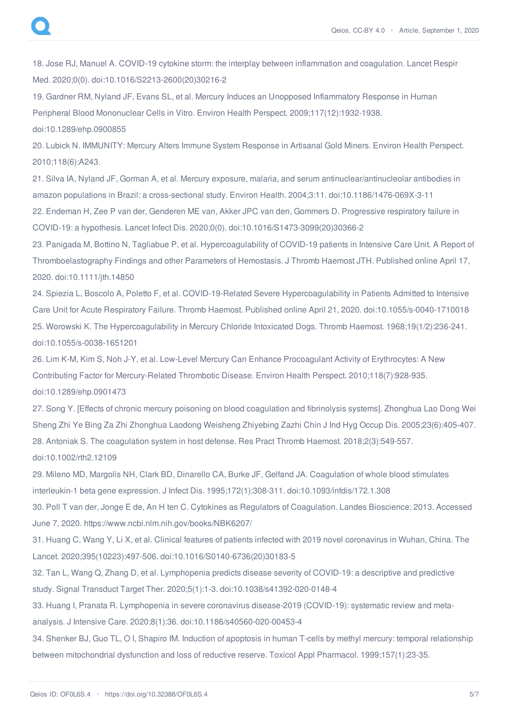18. Jose RJ, Manuel A. COVID-19 cytokine storm: the interplay between inflammation and coagulation. Lancet Respir Med. 2020;0(0). doi:10.1016/S2213-2600(20)30216-2

19. Gardner RM, Nyland JF, Evans SL, et al. Mercury Induces an Unopposed Inflammatory Response in Human Peripheral Blood Mononuclear Cells in Vitro. Environ Health Perspect. 2009;117(12):1932-1938. doi:10.1289/ehp.0900855

20. Lubick N. IMMUNITY: Mercury Alters Immune System Response in Artisanal Gold Miners. Environ Health Perspect. 2010;118(6):A243.

21. Silva IA, Nyland JF, Gorman A, et al. Mercury exposure, malaria, and serum antinuclear/antinucleolar antibodies in amazon populations in Brazil: a cross-sectional study. Environ Health. 2004;3:11. doi:10.1186/1476-069X-3-11

22. Endeman H, Zee P van der, Genderen ME van, Akker JPC van den, Gommers D. Progressive respiratory failure in COVID-19: a hypothesis. Lancet Infect Dis. 2020;0(0). doi:10.1016/S1473-3099(20)30366-2

23. Panigada M, Bottino N, Tagliabue P, et al. Hypercoagulability of COVID-19 patients in Intensive Care Unit. A Report of Thromboelastography Findings and other Parameters of Hemostasis. J Thromb Haemost JTH. Published online April 17, 2020. doi:10.1111/jth.14850

24. Spiezia L, Boscolo A, Poletto F, et al. COVID-19-Related Severe Hypercoagulability in Patients Admitted to Intensive Care Unit for Acute Respiratory Failure. Thromb Haemost. Published online April 21, 2020. doi:10.1055/s-0040-1710018 25. Worowski K. The Hypercoagulability in Mercury Chloride Intoxicated Dogs. Thromb Haemost. 1968;19(1/2):236-241. doi:10.1055/s-0038-1651201

26. Lim K-M, Kim S, Noh J-Y, et al. Low-Level Mercury Can Enhance Procoagulant Activity of Erythrocytes: A New Contributing Factor for Mercury-Related Thrombotic Disease. Environ Health Perspect. 2010;118(7):928-935. doi:10.1289/ehp.0901473

27. Song Y. [Effects of chronic mercury poisoning on blood coagulation and fibrinolysis systems]. Zhonghua Lao Dong Wei Sheng Zhi Ye Bing Za Zhi Zhonghua Laodong Weisheng Zhiyebing Zazhi Chin J Ind Hyg Occup Dis. 2005;23(6):405-407. 28. Antoniak S. The coagulation system in host defense. Res Pract Thromb Haemost. 2018;2(3):549-557.

doi:10.1002/rth2.12109

29. Mileno MD, Margolis NH, Clark BD, Dinarello CA, Burke JF, Gelfand JA. Coagulation of whole blood stimulates interleukin-1 beta gene expression. J Infect Dis. 1995;172(1):308-311. doi:10.1093/infdis/172.1.308

30. Poll T van der, Jonge E de, An H ten C. Cytokines as Regulators of Coagulation. Landes Bioscience; 2013. Accessed June 7, 2020. https://www.ncbi.nlm.nih.gov/books/NBK6207/

31. Huang C, Wang Y, Li X, et al. Clinical features of patients infected with 2019 novel coronavirus in Wuhan, China. The Lancet. 2020;395(10223):497-506. doi:10.1016/S0140-6736(20)30183-5

32. Tan L, Wang Q, Zhang D, et al. Lymphopenia predicts disease severity of COVID-19: a descriptive and predictive study. Signal Transduct Target Ther. 2020;5(1):1-3. doi:10.1038/s41392-020-0148-4

33. Huang I, Pranata R. Lymphopenia in severe coronavirus disease-2019 (COVID-19): systematic review and metaanalysis. J Intensive Care. 2020;8(1):36. doi:10.1186/s40560-020-00453-4

34. Shenker BJ, Guo TL, O I, Shapiro IM. Induction of apoptosis in human T-cells by methyl mercury: temporal relationship between mitochondrial dysfunction and loss of reductive reserve. Toxicol Appl Pharmacol. 1999;157(1):23-35.